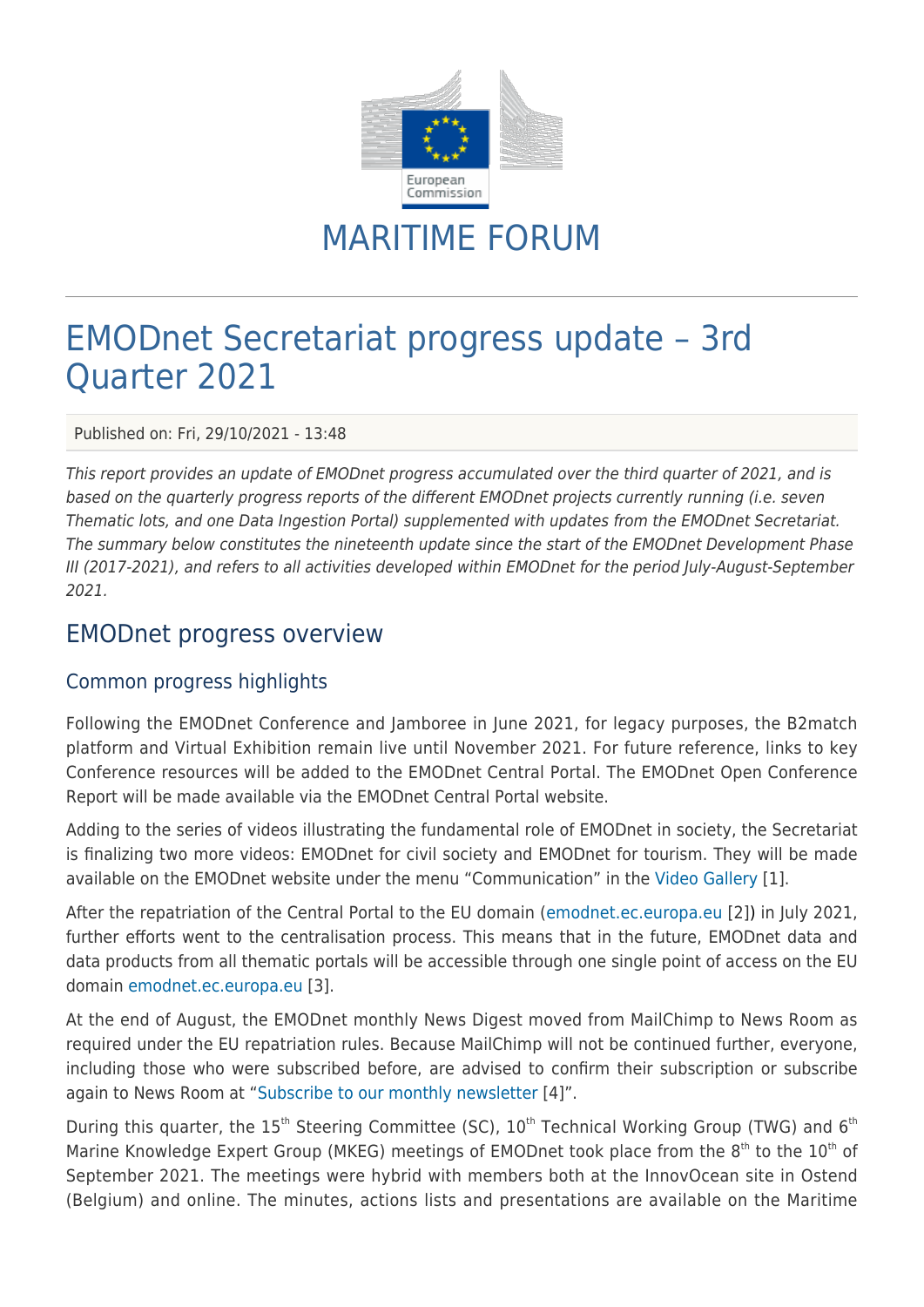

# MARITIME FORUM

## EMODnet Secretariat progress update – 3rd Quarter 2021

Published on: Fri, 29/10/2021 - 13:48

This report provides an update of EMODnet progress accumulated over the third quarter of 2021, and is based on the quarterly progress reports of the different EMODnet projects currently running (i.e. seven Thematic lots, and one Data Ingestion Portal) supplemented with updates from the EMODnet Secretariat. The summary below constitutes the nineteenth update since the start of the EMODnet Development Phase III (2017-2021), and refers to all activities developed within EMODnet for the period July-August-September 2021.

### EMODnet progress overview

### Common progress highlights

Following the EMODnet Conference and Jamboree in June 2021, for legacy purposes, the B2match platform and Virtual Exhibition remain live until November 2021. For future reference, links to key Conference resources will be added to the EMODnet Central Portal. The EMODnet Open Conference Report will be made available via the EMODnet Central Portal website.

Adding to the series of videos illustrating the fundamental role of EMODnet in society, the Secretariat is finalizing two more videos: EMODnet for civil society and EMODnet for tourism. They will be made available on the EMODnet website under the menu "Communication" in the [Video Gallery](https://emodnet.ec.europa.eu/en/videogallery) [1].

After the repatriation of the Central Portal to the EU domain ([emodnet.ec.europa.eu](https://emodnet.ec.europa.eu/en) [2]) in July 2021, further efforts went to the centralisation process. This means that in the future, EMODnet data and data products from all thematic portals will be accessible through one single point of access on the EU domain [emodnet.ec.europa.eu](https://emodnet.ec.europa.eu) [3].

At the end of August, the EMODnet monthly News Digest moved from MailChimp to News Room as required under the EU repatriation rules. Because MailChimp will not be continued further, everyone, including those who were subscribed before, are advised to confirm their subscription or subscribe again to News Room at ["Subscribe to our monthly newsletter](https://ec.europa.eu/newsroom/emodnet/user-subscriptions/2170/create) [4]".

During this quarter, the  $15<sup>th</sup>$  Steering Committee (SC),  $10<sup>th</sup>$  Technical Working Group (TWG) and  $6<sup>th</sup>$ Marine Knowledge Expert Group (MKEG) meetings of EMODnet took place from the  $8<sup>th</sup>$  to the  $10<sup>th</sup>$  of September 2021. The meetings were hybrid with members both at the InnovOcean site in Ostend (Belgium) and online. The minutes, actions lists and presentations are available on the Maritime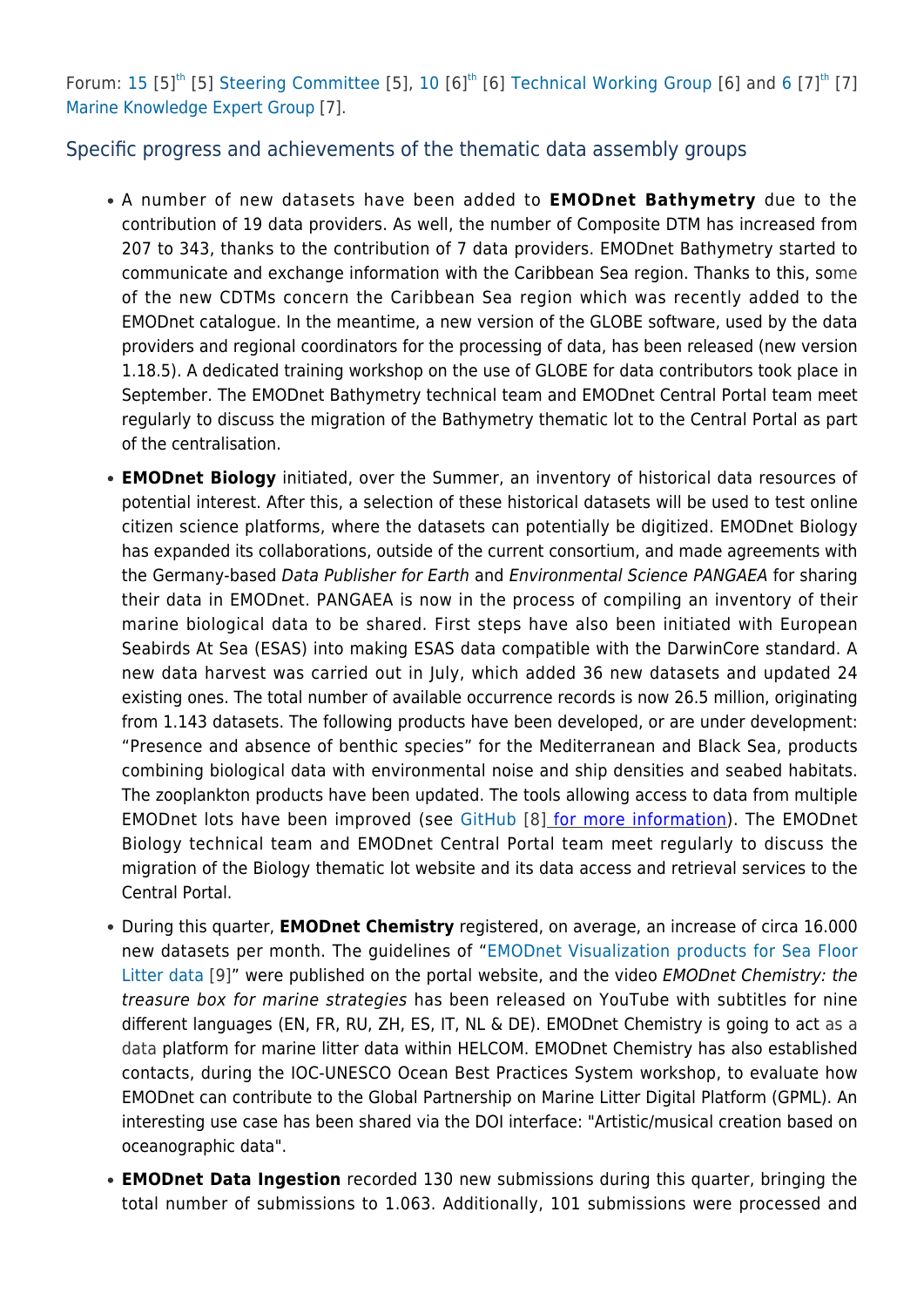Forum: [15](https://webgate.ec.europa.eu/maritimeforum/en/node/6638)  $[5]^{th}$  $[5]^{th}$  $[5]^{th}$  [5] [Steering Committee](https://webgate.ec.europa.eu/maritimeforum/en/node/6638) [5], [10](https://webgate.ec.europa.eu/maritimeforum/en/node/6639)  $[6]^{th}$  $[6]^{th}$  $[6]^{th}$  [6] [Technical Working Group](https://webgate.ec.europa.eu/maritimeforum/en/node/6639) [6] and 6  $[7]^{th}$  [7] [Marine Knowledge Expert Group](https://webgate.ec.europa.eu/maritimeforum/en/node/6640) [7].

### Specific progress and achievements of the thematic data assembly groups

- A number of new datasets have been added to **EMODnet Bathymetry** due to the contribution of 19 data providers. As well, the number of Composite DTM has increased from 207 to 343, thanks to the contribution of 7 data providers. EMODnet Bathymetry started to communicate and exchange information with the Caribbean Sea region. Thanks to this, some of the new CDTMs concern the Caribbean Sea region which was recently added to the EMODnet catalogue. In the meantime, a new version of the GLOBE software, used by the data providers and regional coordinators for the processing of data, has been released (new version 1.18.5). A dedicated training workshop on the use of GLOBE for data contributors took place in September. The EMODnet Bathymetry technical team and EMODnet Central Portal team meet regularly to discuss the migration of the Bathymetry thematic lot to the Central Portal as part of the centralisation.
- **EMODnet Biology** initiated, over the Summer, an inventory of historical data resources of potential interest. After this, a selection of these historical datasets will be used to test online citizen science platforms, where the datasets can potentially be digitized. EMODnet Biology has expanded its collaborations, outside of the current consortium, and made agreements with the Germany-based Data Publisher for Earth and Environmental Science PANGAEA for sharing their data in EMODnet. PANGAEA is now in the process of compiling an inventory of their marine biological data to be shared. First steps have also been initiated with European Seabirds At Sea (ESAS) into making ESAS data compatible with the DarwinCore standard. A new data harvest was carried out in July, which added 36 new datasets and updated 24 existing ones. The total number of available occurrence records is now 26.5 million, originating from 1.143 datasets. The following products have been developed, or are under development: "Presence and absence of benthic species" for the Mediterranean and Black Sea, products combining biological data with environmental noise and ship densities and seabed habitats. The zooplankton products have been updated. The tools allowing access to data from multiple EMODnet lots have been improved (see [GitHub](https://github.com/EMODnet/EMODnetWFS) [8] for more information). The EMODnet Biology technical team and EMODnet Central Portal team meet regularly to discuss the migration of the Biology thematic lot website and its data access and retrieval services to the Central Portal.
- During this quarter, **EMODnet Chemistry** registered, on average, an increase of circa 16.000 new datasets per month. The guidelines of "[EMODnet Visualization products for Sea Floor](https://doi.org/10.6092/15c0d34c-a01a-4091-91ac-7c4f561ab508) [Litter data](https://doi.org/10.6092/15c0d34c-a01a-4091-91ac-7c4f561ab508) [9]" were published on the portal website, and the video EMODnet Chemistry: the treasure box for marine strategies has been released on YouTube with subtitles for nine different languages (EN, FR, RU, ZH, ES, IT, NL & DE). EMODnet Chemistry is going to act as a data platform for marine litter data within HELCOM. EMODnet Chemistry has also established contacts, during the IOC-UNESCO Ocean Best Practices System workshop, to evaluate how EMODnet can contribute to the Global Partnership on Marine Litter Digital Platform (GPML). An interesting use case has been shared via the DOI interface: "Artistic/musical creation based on oceanographic data".
- **EMODnet Data Ingestion** recorded 130 new submissions during this quarter, bringing the total number of submissions to 1.063. Additionally, 101 submissions were processed and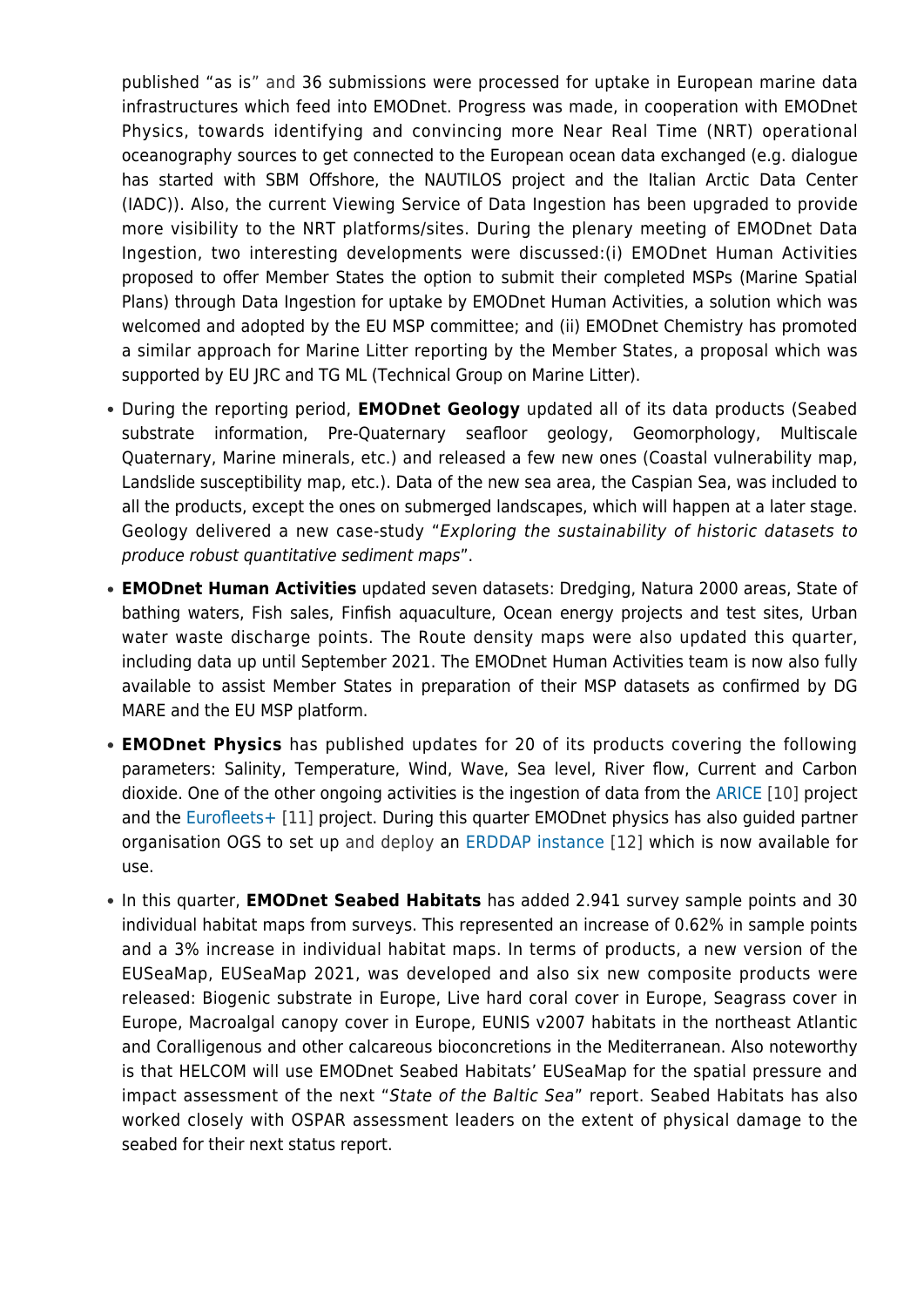published "as is" and 36 submissions were processed for uptake in European marine data infrastructures which feed into EMODnet. Progress was made, in cooperation with EMODnet Physics, towards identifying and convincing more Near Real Time (NRT) operational oceanography sources to get connected to the European ocean data exchanged (e.g. dialogue has started with SBM Offshore, the NAUTILOS project and the Italian Arctic Data Center (IADC)). Also, the current Viewing Service of Data Ingestion has been upgraded to provide more visibility to the NRT platforms/sites. During the plenary meeting of EMODnet Data Ingestion, two interesting developments were discussed:(i) EMODnet Human Activities proposed to offer Member States the option to submit their completed MSPs (Marine Spatial Plans) through Data Ingestion for uptake by EMODnet Human Activities, a solution which was welcomed and adopted by the EU MSP committee; and (ii) EMODnet Chemistry has promoted a similar approach for Marine Litter reporting by the Member States, a proposal which was supported by EU JRC and TG ML (Technical Group on Marine Litter).

- During the reporting period, **EMODnet Geology** updated all of its data products (Seabed substrate information, Pre-Quaternary seafloor geology, Geomorphology, Multiscale Quaternary, Marine minerals, etc.) and released a few new ones (Coastal vulnerability map, Landslide susceptibility map, etc.). Data of the new sea area, the Caspian Sea, was included to all the products, except the ones on submerged landscapes, which will happen at a later stage. Geology delivered a new case-study "Exploring the sustainability of historic datasets to produce robust quantitative sediment maps".
- **EMODnet Human Activities** updated seven datasets: Dredging, Natura 2000 areas, State of bathing waters, Fish sales, Finfish aquaculture, Ocean energy projects and test sites, Urban water waste discharge points. The Route density maps were also updated this quarter, including data up until September 2021. The EMODnet Human Activities team is now also fully available to assist Member States in preparation of their MSP datasets as confirmed by DG MARE and the EU MSP platform.
- **EMODnet Physics** has published updates for 20 of its products covering the following parameters: Salinity, Temperature, Wind, Wave, Sea level, River flow, Current and Carbon dioxide. One of the other ongoing activities is the ingestion of data from the [ARICE](https://www.arice.eu/) [10] project and the [Eurofleets+](https://www.eurofleets.eu/) [11] project. During this quarter EMODnet physics has also guided partner organisation OGS to set up and deploy an [ERDDAP instance](https://nodc.inogs.it/erddap/index.html) [12] which is now available for use.
- In this quarter, **EMODnet Seabed Habitats** has added 2.941 survey sample points and 30 individual habitat maps from surveys. This represented an increase of 0.62% in sample points and a 3% increase in individual habitat maps. In terms of products, a new version of the EUSeaMap, EUSeaMap 2021, was developed and also six new composite products were released: Biogenic substrate in Europe, Live hard coral cover in Europe, Seagrass cover in Europe, Macroalgal canopy cover in Europe, EUNIS v2007 habitats in the northeast Atlantic and Coralligenous and other calcareous bioconcretions in the Mediterranean. Also noteworthy is that HELCOM will use EMODnet Seabed Habitats' EUSeaMap for the spatial pressure and impact assessment of the next "State of the Baltic Sea" report. Seabed Habitats has also worked closely with OSPAR assessment leaders on the extent of physical damage to the seabed for their next status report.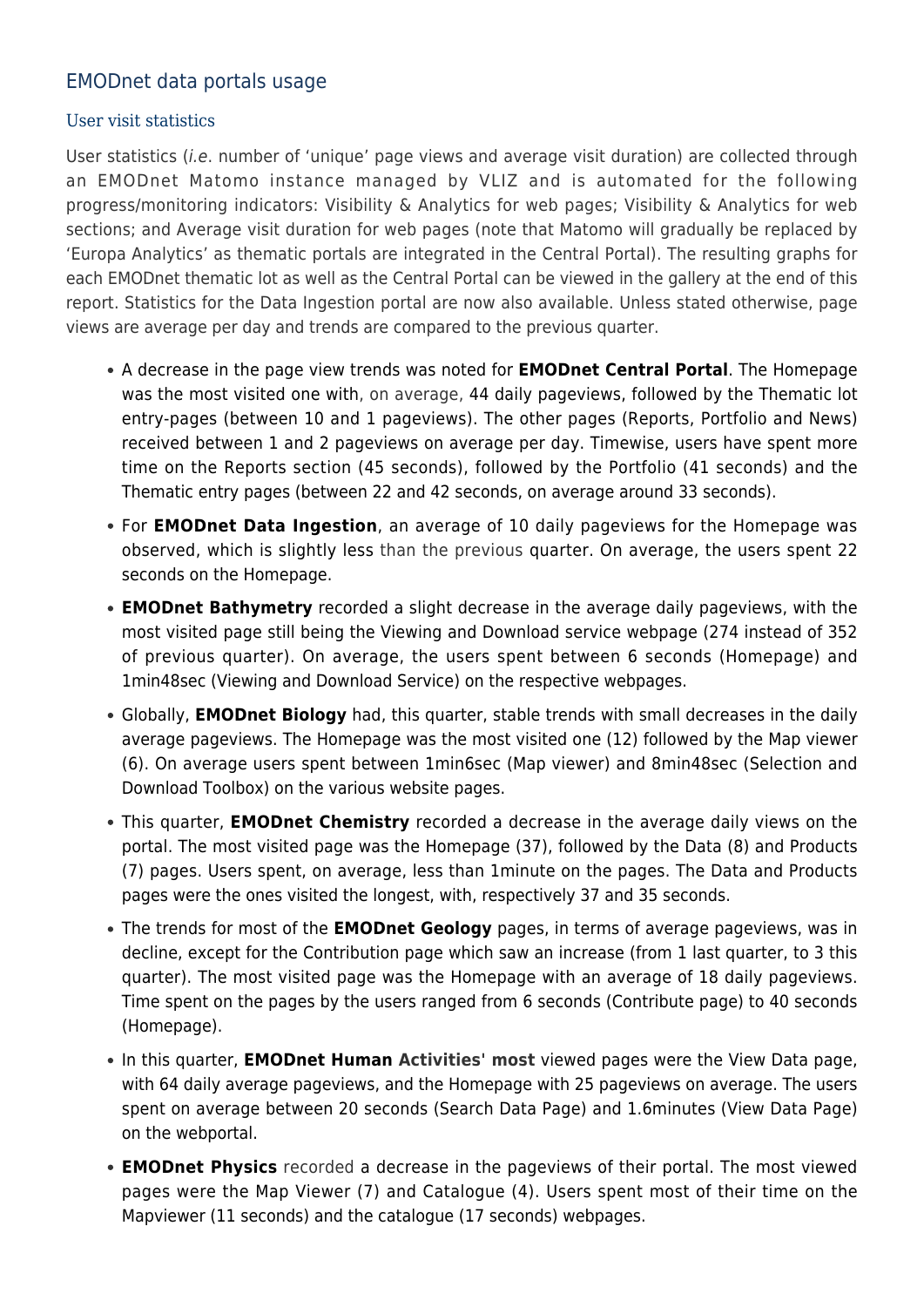### EMODnet data portals usage

### User visit statistics

User statistics (i.e. number of 'unique' page views and average visit duration) are collected through an EMODnet Matomo instance managed by VLIZ and is automated for the following progress/monitoring indicators: Visibility & Analytics for web pages; Visibility & Analytics for web sections; and Average visit duration for web pages (note that Matomo will gradually be replaced by 'Europa Analytics' as thematic portals are integrated in the Central Portal). The resulting graphs for each EMODnet thematic lot as well as the Central Portal can be viewed in the gallery at the end of this report. Statistics for the Data Ingestion portal are now also available. Unless stated otherwise, page views are average per day and trends are compared to the previous quarter.

- A decrease in the page view trends was noted for **EMODnet Central Portal**. The Homepage was the most visited one with, on average, 44 daily pageviews, followed by the Thematic lot entry-pages (between 10 and 1 pageviews). The other pages (Reports, Portfolio and News) received between 1 and 2 pageviews on average per day. Timewise, users have spent more time on the Reports section (45 seconds), followed by the Portfolio (41 seconds) and the Thematic entry pages (between 22 and 42 seconds, on average around 33 seconds).
- For **EMODnet Data Ingestion**, an average of 10 daily pageviews for the Homepage was observed, which is slightly less than the previous quarter. On average, the users spent 22 seconds on the Homepage.
- **EMODnet Bathymetry** recorded a slight decrease in the average daily pageviews, with the most visited page still being the Viewing and Download service webpage (274 instead of 352 of previous quarter). On average, the users spent between 6 seconds (Homepage) and 1min48sec (Viewing and Download Service) on the respective webpages.
- Globally, **EMODnet Biology** had, this quarter, stable trends with small decreases in the daily average pageviews. The Homepage was the most visited one (12) followed by the Map viewer (6). On average users spent between 1min6sec (Map viewer) and 8min48sec (Selection and Download Toolbox) on the various website pages.
- This quarter, **EMODnet Chemistry** recorded a decrease in the average daily views on the portal. The most visited page was the Homepage (37), followed by the Data (8) and Products (7) pages. Users spent, on average, less than 1minute on the pages. The Data and Products pages were the ones visited the longest, with, respectively 37 and 35 seconds.
- The trends for most of the **EMODnet Geology** pages, in terms of average pageviews, was in decline, except for the Contribution page which saw an increase (from 1 last quarter, to 3 this quarter). The most visited page was the Homepage with an average of 18 daily pageviews. Time spent on the pages by the users ranged from 6 seconds (Contribute page) to 40 seconds (Homepage).
- In this quarter, **EMODnet Human Activities' most** viewed pages were the View Data page, with 64 daily average pageviews, and the Homepage with 25 pageviews on average. The users spent on average between 20 seconds (Search Data Page) and 1.6minutes (View Data Page) on the webportal.
- **EMODnet Physics** recorded a decrease in the pageviews of their portal. The most viewed pages were the Map Viewer (7) and Catalogue (4). Users spent most of their time on the Mapviewer (11 seconds) and the catalogue (17 seconds) webpages.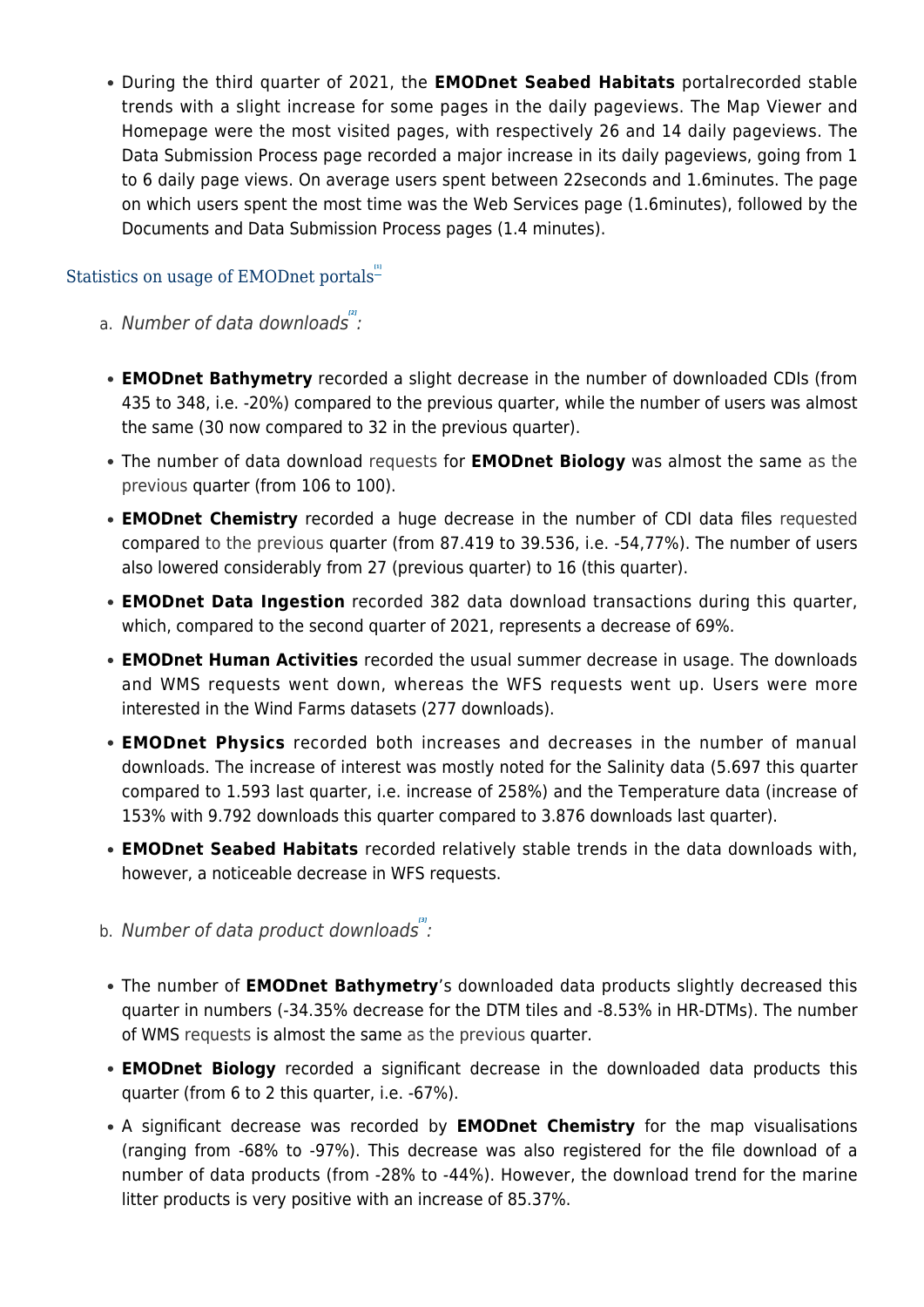During the third quarter of 2021, the **EMODnet Seabed Habitats** portalrecorded stable trends with a slight increase for some pages in the daily pageviews. The Map Viewer and Homepage were the most visited pages, with respectively 26 and 14 daily pageviews. The Data Submission Process page recorded a major increase in its daily pageviews, going from 1 to 6 daily page views. On average users spent between 22seconds and 1.6minutes. The page on which users spent the most time was the Web Services page (1.6minutes), followed by the Documents and Data Submission Process pages (1.4 minutes).

### <span id="page-4-1"></span><span id="page-4-0"></span>Statistics on usage of EMODnet portals<sup>"</sup>

- a. Number of data downloads<sup>"</sup>:
- **EMODnet Bathymetry** recorded a slight decrease in the number of downloaded CDIs (from 435 to 348, i.e. -20%) compared to the previous quarter, while the number of users was almost the same (30 now compared to 32 in the previous quarter).
- The number of data download requests for **EMODnet Biology** was almost the same as the previous quarter (from 106 to 100).
- **EMODnet Chemistry** recorded a huge decrease in the number of CDI data files requested compared to the previous quarter (from 87.419 to 39.536, i.e. -54,77%). The number of users also lowered considerably from 27 (previous quarter) to 16 (this quarter).
- **EMODnet Data Ingestion** recorded 382 data download transactions during this quarter, which, compared to the second quarter of 2021, represents a decrease of 69%.
- **EMODnet Human Activities** recorded the usual summer decrease in usage. The downloads and WMS requests went down, whereas the WFS requests went up. Users were more interested in the Wind Farms datasets (277 downloads).
- **EMODnet Physics** recorded both increases and decreases in the number of manual downloads. The increase of interest was mostly noted for the Salinity data (5.697 this quarter compared to 1.593 last quarter, i.e. increase of 258%) and the Temperature data (increase of 153% with 9.792 downloads this quarter compared to 3.876 downloads last quarter).
- **EMODnet Seabed Habitats** recorded relatively stable trends in the data downloads with, however, a noticeable decrease in WFS requests.
- <span id="page-4-2"></span>b. Number of data product downloads<sup>"</sup>:
- The number of **EMODnet Bathymetry**'s downloaded data products slightly decreased this quarter in numbers (-34.35% decrease for the DTM tiles and -8.53% in HR-DTMs). The number of WMS requests is almost the same as the previous quarter.
- **EMODnet Biology** recorded a significant decrease in the downloaded data products this quarter (from 6 to 2 this quarter, i.e. -67%).
- A significant decrease was recorded by **EMODnet Chemistry** for the map visualisations (ranging from -68% to -97%). This decrease was also registered for the file download of a number of data products (from -28% to -44%). However, the download trend for the marine litter products is very positive with an increase of 85.37%.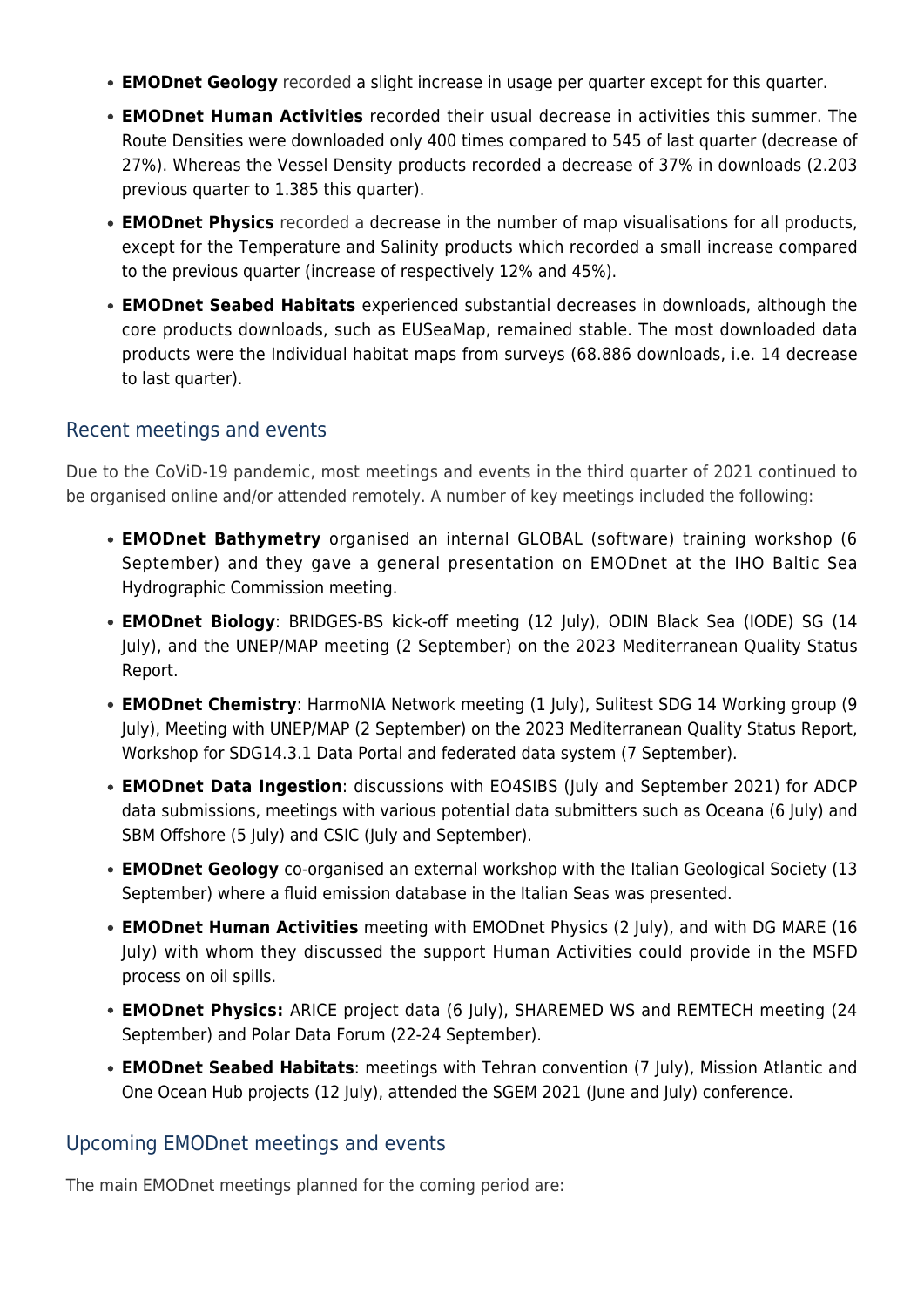- **EMODnet Geology** recorded a slight increase in usage per quarter except for this quarter.
- **EMODnet Human Activities** recorded their usual decrease in activities this summer. The Route Densities were downloaded only 400 times compared to 545 of last quarter (decrease of 27%). Whereas the Vessel Density products recorded a decrease of 37% in downloads (2.203 previous quarter to 1.385 this quarter).
- **EMODnet Physics** recorded a decrease in the number of map visualisations for all products, except for the Temperature and Salinity products which recorded a small increase compared to the previous quarter (increase of respectively 12% and 45%).
- **EMODnet Seabed Habitats** experienced substantial decreases in downloads, although the core products downloads, such as EUSeaMap, remained stable. The most downloaded data products were the Individual habitat maps from surveys (68.886 downloads, i.e. 14 decrease to last quarter).

### Recent meetings and events

Due to the CoViD-19 pandemic, most meetings and events in the third quarter of 2021 continued to be organised online and/or attended remotely. A number of key meetings included the following:

- **EMODnet Bathymetry** organised an internal GLOBAL (software) training workshop (6 September) and they gave a general presentation on EMODnet at the IHO Baltic Sea Hydrographic Commission meeting.
- **EMODnet Biology**: BRIDGES-BS kick-off meeting (12 July), ODIN Black Sea (IODE) SG (14 July), and the UNEP/MAP meeting (2 September) on the 2023 Mediterranean Quality Status Report.
- **EMODnet Chemistry**: HarmoNIA Network meeting (1 July), Sulitest SDG 14 Working group (9 July), Meeting with UNEP/MAP (2 September) on the 2023 Mediterranean Quality Status Report, Workshop for SDG14.3.1 Data Portal and federated data system (7 September).
- **EMODnet Data Ingestion**: discussions with EO4SIBS (July and September 2021) for ADCP data submissions, meetings with various potential data submitters such as Oceana (6 July) and SBM Offshore (5 July) and CSIC (July and September).
- **EMODnet Geology** co-organised an external workshop with the Italian Geological Society (13 September) where a fluid emission database in the Italian Seas was presented.
- **EMODnet Human Activities** meeting with EMODnet Physics (2 July), and with DG MARE (16 July) with whom they discussed the support Human Activities could provide in the MSFD process on oil spills.
- **EMODnet Physics:** ARICE project data (6 July), SHAREMED WS and REMTECH meeting (24 September) and Polar Data Forum (22-24 September).
- **EMODnet Seabed Habitats**: meetings with Tehran convention (7 July), Mission Atlantic and One Ocean Hub projects (12 July), attended the SGEM 2021 (June and July) conference.

### Upcoming EMODnet meetings and events

The main EMODnet meetings planned for the coming period are: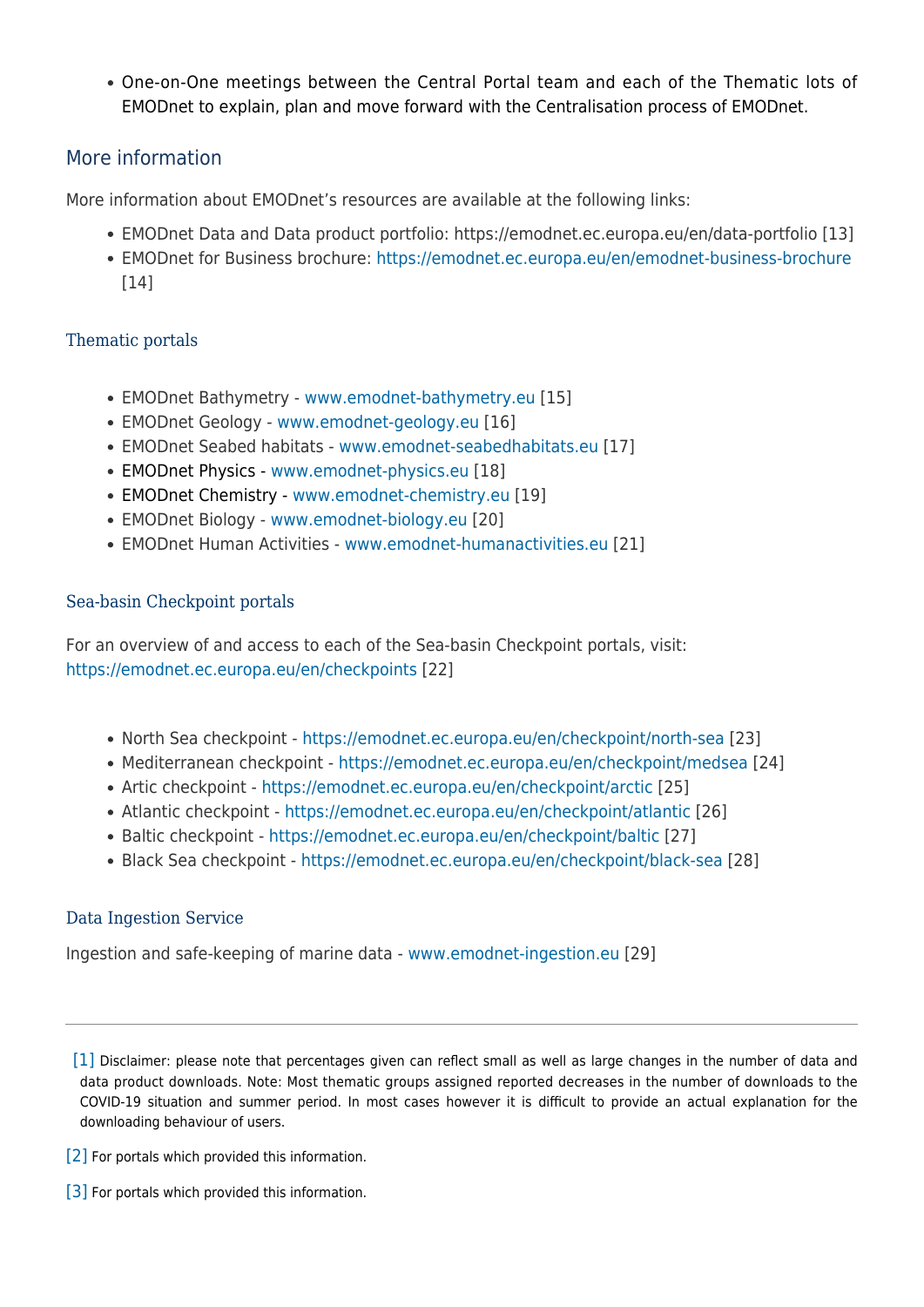One-on-One meetings between the Central Portal team and each of the Thematic lots of EMODnet to explain, plan and move forward with the Centralisation process of EMODnet.

### More information

More information about EMODnet's resources are available at the following links:

- EMODnet Data and Data product portfolio: https://emodnet.ec.europa.eu/en/data-portfolio [13]
- EMODnet for Business brochure: <https://emodnet.ec.europa.eu/en/emodnet-business-brochure> [14]

### Thematic portals

- EMODnet Bathymetry - [www.emodnet-bathymetry.eu](http://www.emodnet-bathymetry.eu) [15]
- EMODnet Geology [www.emodnet-geology.eu](http://www.emodnet-geology.eu) [16]
- EMODnet Seabed habitats [www.emodnet-seabedhabitats.eu](http://www.emodnet-seabedhabitats.eu) [17]
- EMODnet Physics [www.emodnet-physics.eu](http://www.emodnet-physics.eu) [18]
- EMODnet Chemistry [www.emodnet-chemistry.eu](http://www.emodnet-chemistry.eu/) [19]
- EMODnet Biology - [www.emodnet-biology.eu](http://www.emodnet-biology.eu) [20]
- EMODnet Human Activities - [www.emodnet-humanactivities.eu](http://www.emodnet-humanactivities.eu) [21]

### Sea-basin Checkpoint portals

For an overview of and access to each of the Sea-basin Checkpoint portals, visit: <https://emodnet.ec.europa.eu/en/checkpoints> [22]

- North Sea checkpoint -<https://emodnet.ec.europa.eu/en/checkpoint/north-sea> [23]
- Mediterranean checkpoint -<https://emodnet.ec.europa.eu/en/checkpoint/medsea> [24]
- Artic checkpoint <https://emodnet.ec.europa.eu/en/checkpoint/arctic> [25]
- Atlantic checkpoint <https://emodnet.ec.europa.eu/en/checkpoint/atlantic> [26]
- Baltic checkpoint -<https://emodnet.ec.europa.eu/en/checkpoint/baltic> [27]
- Black Sea checkpoint -<https://emodnet.ec.europa.eu/en/checkpoint/black-sea> [28]

### Data Ingestion Service

Ingestion and safe-keeping of marine data - [www.emodnet-ingestion.eu](https://www.emodnet-ingestion.eu/) [29]

<span id="page-6-0"></span>[\[1\]](#page-4-0) Disclaimer: please note that percentages given can reflect small as well as large changes in the number of data and data product downloads. Note: Most thematic groups assigned reported decreases in the number of downloads to the COVID-19 situation and summer period. In most cases however it is difficult to provide an actual explanation for the downloading behaviour of users.

- <span id="page-6-1"></span>[\[2\]](#page-4-1) For portals which provided this information.
- <span id="page-6-2"></span>[\[3\]](#page-4-2) For portals which provided this information.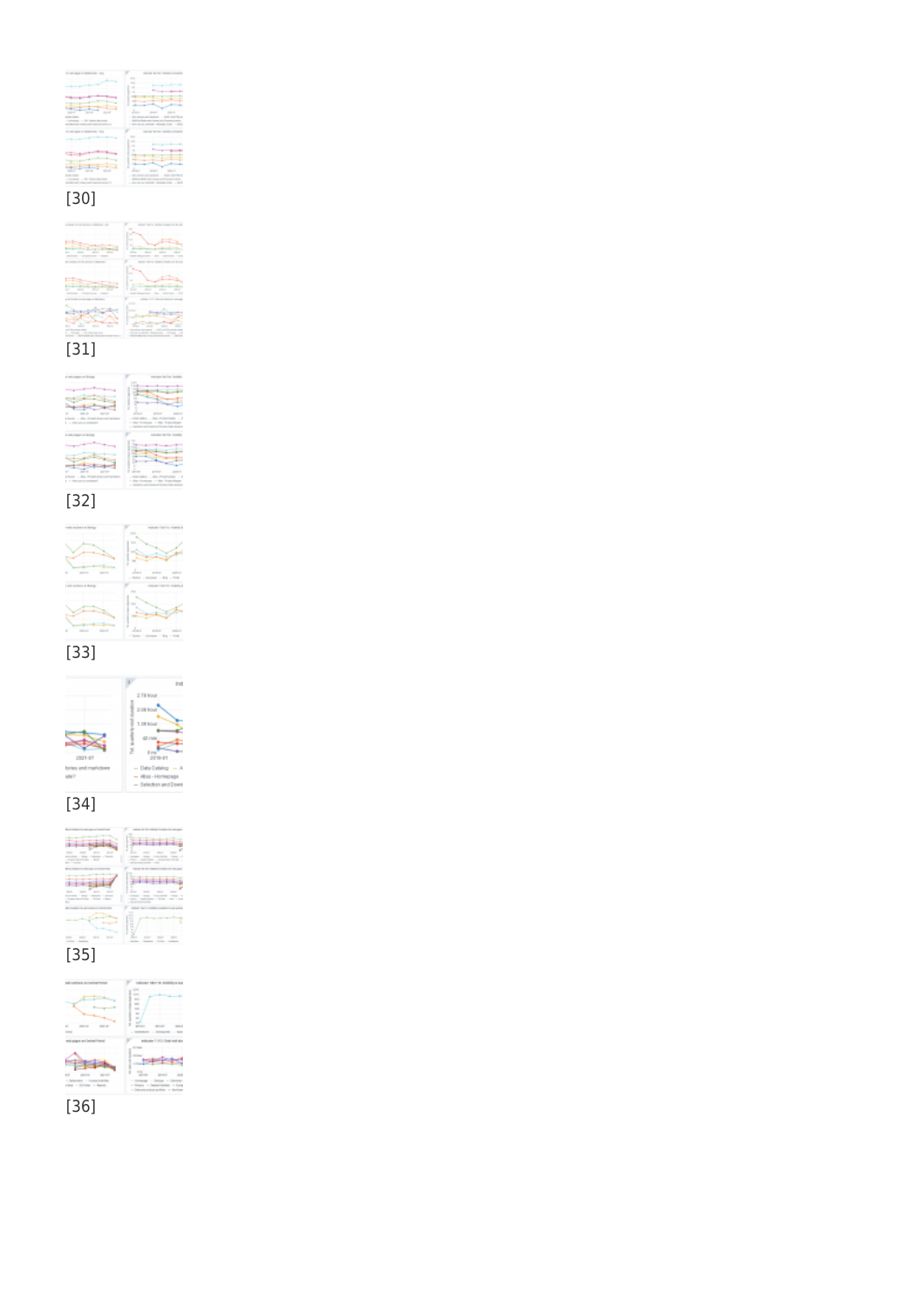### [36]





### [34]

|                      | Ind                            |
|----------------------|--------------------------------|
|                      | 2/19 hour                      |
|                      | 3:08 to                        |
|                      | 1.188.04                       |
|                      |                                |
|                      |                                |
| $2021 - 07$          | 3918-81                        |
| lories and mark-bare | - Date Cetalog                 |
| uke?                 | $-4888 - 1401$                 |
|                      | Western Alexander and Warranty |

**Ind** 

 $\mathbb{L}$ oge<br>Dren

### [33]



### [32]

| ٠<br>a mark<br><b>Clinton Co.</b><br><b>CARD AND ART</b>                                                                                                                                                                                                                                                                                                                                                                                                                                                             |                                                                      |
|----------------------------------------------------------------------------------------------------------------------------------------------------------------------------------------------------------------------------------------------------------------------------------------------------------------------------------------------------------------------------------------------------------------------------------------------------------------------------------------------------------------------|----------------------------------------------------------------------|
| E - Mar service community                                                                                                                                                                                                                                                                                                                                                                                                                                                                                            | . Also increases<br>- Telefoni a di teacher "collec-                 |
|                                                                                                                                                                                                                                                                                                                                                                                                                                                                                                                      | <b>CALL BATA</b>                                                     |
|                                                                                                                                                                                                                                                                                                                                                                                                                                                                                                                      |                                                                      |
|                                                                                                                                                                                                                                                                                                                                                                                                                                                                                                                      |                                                                      |
|                                                                                                                                                                                                                                                                                                                                                                                                                                                                                                                      |                                                                      |
|                                                                                                                                                                                                                                                                                                                                                                                                                                                                                                                      |                                                                      |
| <b>Contact Lands</b>                                                                                                                                                                                                                                                                                                                                                                                                                                                                                                 | ٠                                                                    |
| $\mathfrak{g} \;\; \rightarrow \;\; \mathrm{time} \;\; \mathrm{sym} \;\; \mathrm{sym} \;\; \mathrm{sym} \;\; \mathrm{mod} \;\; \mathrm{mod} \;\; \mathrm{mod} \;\; \mathrm{mod} \;\; \mathrm{mod} \;\; \mathrm{mod} \;\; \mathrm{mod} \;\; \mathrm{mod} \;\; \mathrm{mod} \;\; \mathrm{mod} \;\; \mathrm{mod} \;\; \mathrm{mod} \;\; \mathrm{mod} \;\; \mathrm{mod} \;\; \mathrm{mod} \;\; \mathrm{mod} \;\; \mathrm{mod} \;\; \mathrm{mod} \;\; \mathrm{mod} \;\; \mathrm{mod} \;\; \mathrm{mod} \;\; \mathrm{mod}$ | within Homester within their<br>- Telefonia de Britannico e Persiano |

### [31]

| $\frac{1}{2}$<br>۰<br>۰<br><b>CONTRACTOR</b> |   |
|----------------------------------------------|---|
|                                              |   |
|                                              |   |
|                                              |   |
|                                              |   |
|                                              |   |
|                                              |   |
|                                              | ÷ |

### [30]

|                                                                         | -<br>$\sim$                                                                 |
|-------------------------------------------------------------------------|-----------------------------------------------------------------------------|
|                                                                         |                                                                             |
|                                                                         | ı<br>٠<br>۰                                                                 |
| ----<br>÷                                                               | - Tell experienced<br>-----<br>- best with<br>account is their<br>$-200000$ |
|                                                                         |                                                                             |
|                                                                         | -                                                                           |
|                                                                         |                                                                             |
|                                                                         | ï                                                                           |
| terms - 10 Series Stewart<br>the development of the control of the con- | ٠<br>٠<br>a fix ratio indicate details which a dark                         |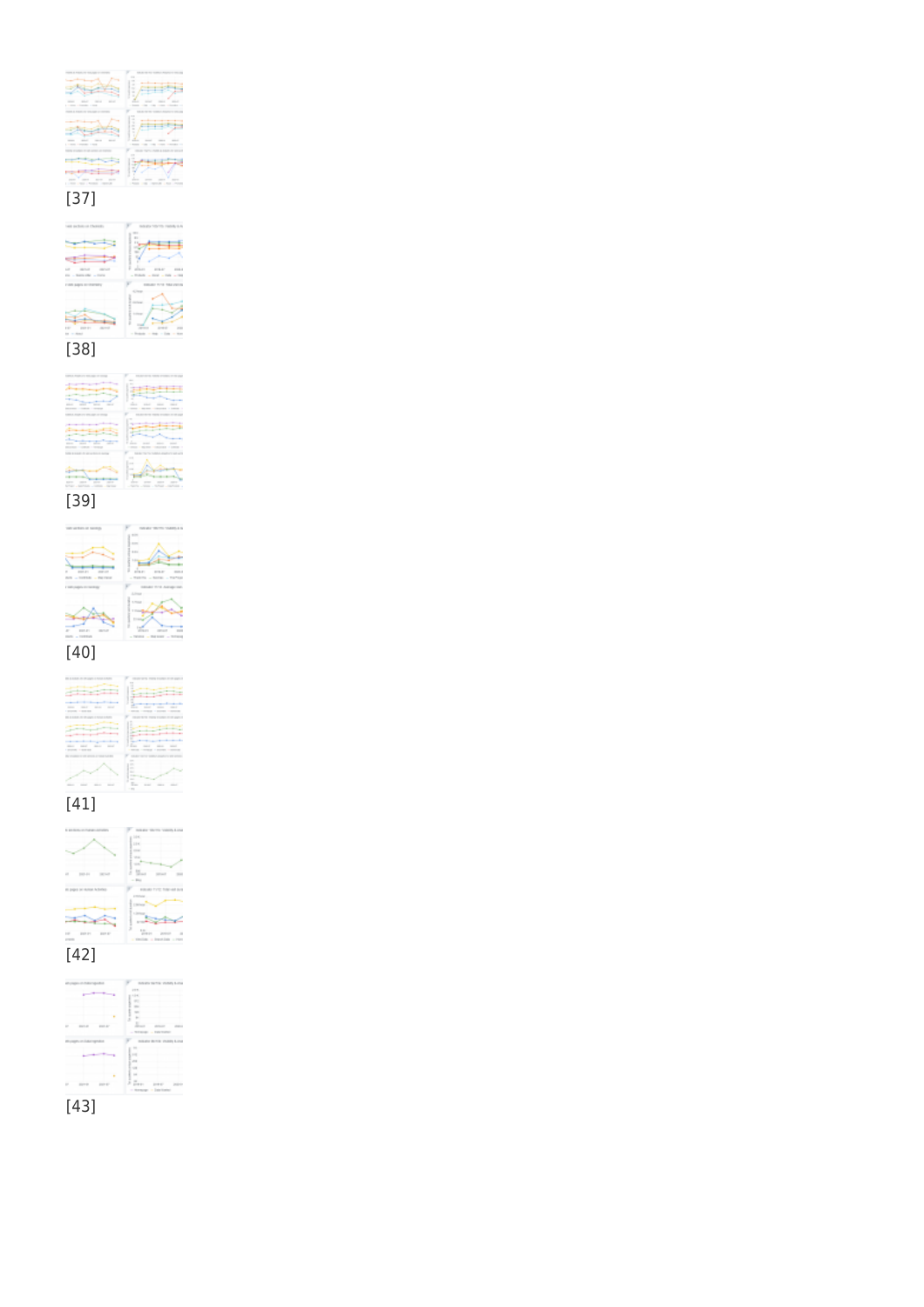### [43]



### [42]

| .,                                                |   |
|---------------------------------------------------|---|
|                                                   |   |
| $\overline{a}$<br>÷<br>٠<br>٠<br>at la Solla<br>٠ |   |
|                                                   | z |
|                                                   | ń |

### [41]

| ٠             |                  |
|---------------|------------------|
| ٠             | <br>٠            |
|               | t<br>٠           |
| $\sim$        | $\sim$<br>$\sim$ |
|               | ٠                |
|               | в<br>٠<br>٠      |
|               |                  |
| ÷<br>--<br>i. | $\sim$           |
|               |                  |
|               |                  |
|               | $\sim$           |
|               | m.               |



# [39]

|   | × |
|---|---|
| í | ٠ |
|   |   |

### [38]

| (and include on Chemica)                                       | link alla Tella VIII Fisikola in A                                 |
|----------------------------------------------------------------|--------------------------------------------------------------------|
|                                                                |                                                                    |
| <b>CONTRACT</b><br>- North Office - Profit<br>All ago interest | ---<br>$-200$ and $-200$ and $-200$<br>٠<br>٠<br>18 YEAR OLD<br>n. |
|                                                                |                                                                    |
| <b>STATE</b>                                                   | $\sim$                                                             |

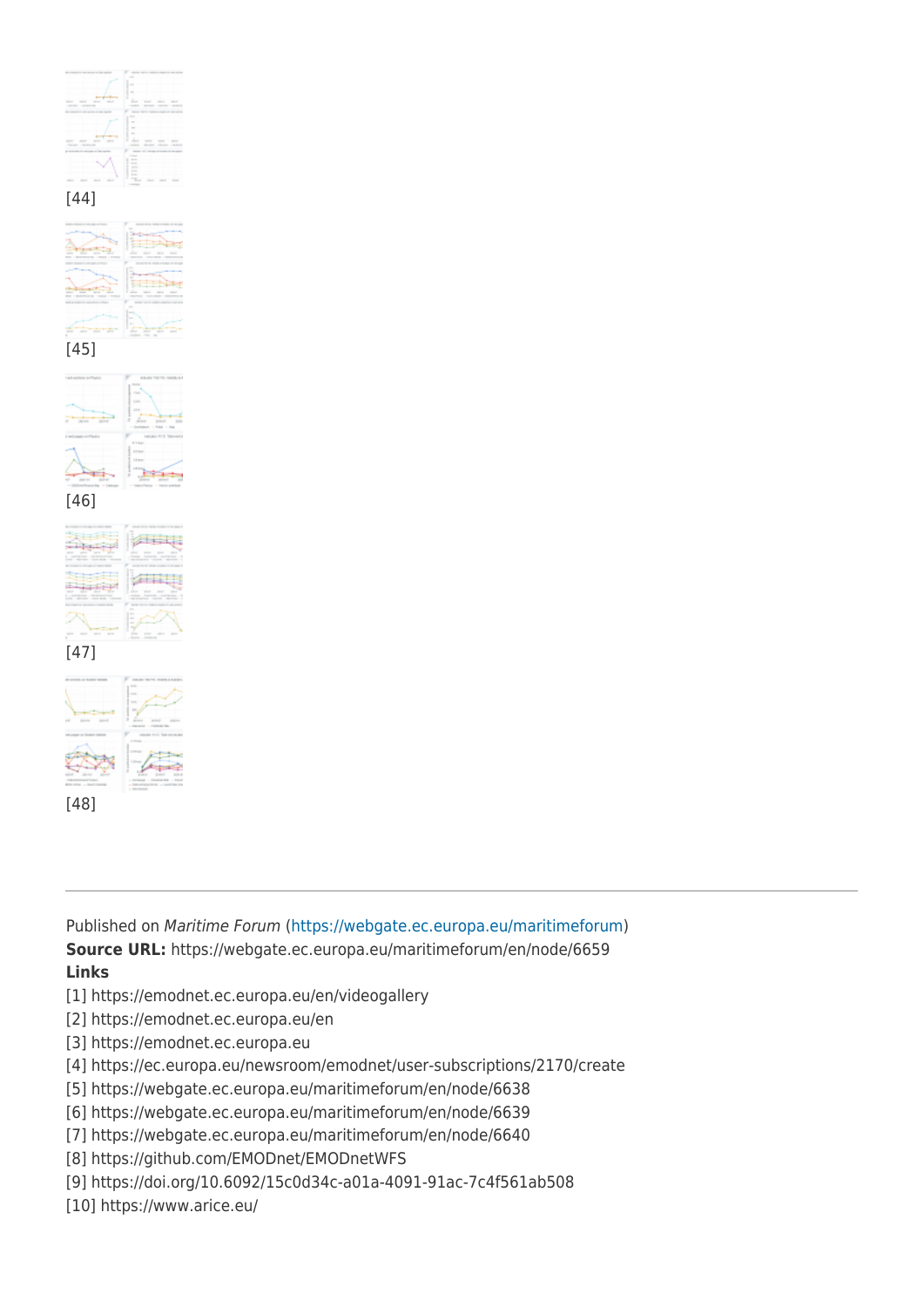



[46]

大震災

all fairs

 $41111$ 

[47]

[48]



Published on Maritime Forum ([https://webgate.ec.europa.eu/maritimeforum\)](https://webgate.ec.europa.eu/maritimeforum) **Source URL:** https://webgate.ec.europa.eu/maritimeforum/en/node/6659 **Links**

- [1] https://emodnet.ec.europa.eu/en/videogallery
- [2] https://emodnet.ec.europa.eu/en
- [3] https://emodnet.ec.europa.eu
- [4] https://ec.europa.eu/newsroom/emodnet/user-subscriptions/2170/create
- [5] https://webgate.ec.europa.eu/maritimeforum/en/node/6638
- [6] https://webgate.ec.europa.eu/maritimeforum/en/node/6639
- [7] https://webgate.ec.europa.eu/maritimeforum/en/node/6640
- [8] https://github.com/EMODnet/EMODnetWFS
- [9] https://doi.org/10.6092/15c0d34c-a01a-4091-91ac-7c4f561ab508
- [10] https://www.arice.eu/